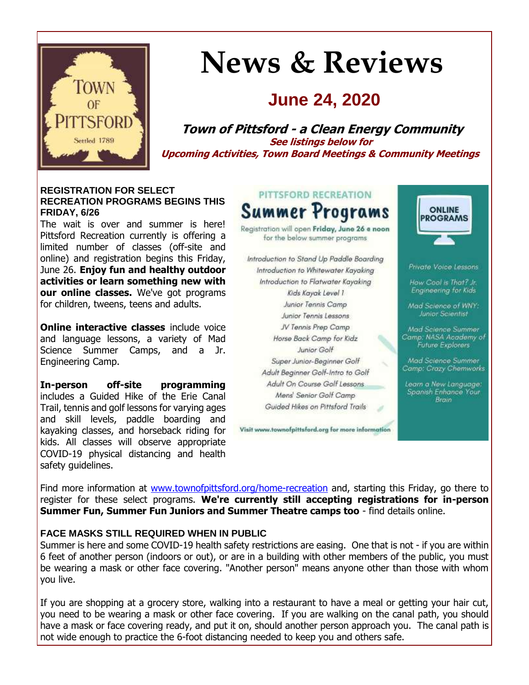

# **News & Reviews**

# **June 24, 2020**

**Town of Pittsford - a Clean Energy Community See listings below for Upcoming Activities, Town Board Meetings & Community Meetings**

#### **REGISTRATION FOR SELECT RECREATION PROGRAMS BEGINS THIS FRIDAY, 6/26**

The wait is over and summer is here! Pittsford Recreation currently is offering a limited number of classes (off-site and online) and registration begins this Friday, June 26. **Enjoy fun and healthy outdoor activities or learn something new with our online classes.** We've got programs for children, tweens, teens and adults.

**Online interactive classes** include voice and language lessons, a variety of Mad Science Summer Camps, and a Jr. Engineering Camp.

**In-person off-site programming** includes a Guided Hike of the Erie Canal Trail, tennis and golf lessons for varying ages and skill levels, paddle boarding and kayaking classes, and horseback riding for kids. All classes will observe appropriate COVID-19 physical distancing and health safety guidelines.



Registration will open Friday, June 26 a noon for the below summer programs

Introduction to Stand Up Paddle Boarding Introduction to Whitewater Kayoking Introduction to Flatwater Kayaking Kids Kayak Level 1 Junior Tennis Camp Junior Tennis Lessons JV Tennis Prep Camp Horse Back Camp for Kidz Junior Golf Super Junior-Beginner Golf Adult Beginner Golf-Intro to Golf Adult On Course Golf Lessons Mens' Senior Golf Camp Guided Hikes on Pittsford Trails

Visit www.townofpittsford.org for more information



Private Voice Lessons

How Cool is That? Jr. Engineering for Kids

Mad Science of WNY: Junior Scientist

Mad Science Summer<br>Camp: NASA Academy of **Future Explorers** 

Mad Science Summer Camp: Crazy Chemworks

Learn a New Language:<br>Spanish Enhance Your Brain

Find more information at [www.townofpittsford.org/home-recreation](http://r20.rs6.net/tn.jsp?f=001oFsxeJAhi5itpVtVLQ6JhGuZqjBD74tzjUa7j-RL_qYBmPozJUAzYNU_JPTyzaihtpOtwqGlRZr0hRMRJJCZYBW50eU-eZ9fP13Iyl5OJGQhN7x9H1NFttkGi6heebZYhCIuFb5clxmGzkhZ57aIOFDp-waob0LVwDH2ICAItxFYXAN-oEi8_jl7ung0vVBInU7YBEETxI9EwOJRZ-V0g4-nQsHiwmEq9WoR4dqnOVy3cy2aA3DdWf3gxFEXNyF9Z-kZ2vBacEnjk4DY21uuco9U9gGYDOEckwH8Nz5SIrIPIMW2edK1aZfZlJliTjuZ&c=EhzlqT13_gbDl7cIaMBbQYYCZqkKytkygVs8wdT_apQX604r4U179g==&ch=L0e1_i6GB-hV70Umk1Pndi5EktvEwwQNw9UPVez3nGBSCmJVlvsmyw==) and, starting this Friday, go there to register for these select programs. **We're currently still accepting registrations for in-person Summer Fun, Summer Fun Juniors and Summer Theatre camps too** - find details online.

#### **FACE MASKS STILL REQUIRED WHEN IN PUBLIC**

Summer is here and some COVID-19 health safety restrictions are easing. One that is not - if you are within 6 feet of another person (indoors or out), or are in a building with other members of the public, you must be wearing a mask or other face covering. "Another person" means anyone other than those with whom you live.

If you are shopping at a grocery store, walking into a restaurant to have a meal or getting your hair cut, you need to be wearing a mask or other face covering. If you are walking on the canal path, you should have a mask or face covering ready, and put it on, should another person approach you. The canal path is not wide enough to practice the 6-foot distancing needed to keep you and others safe.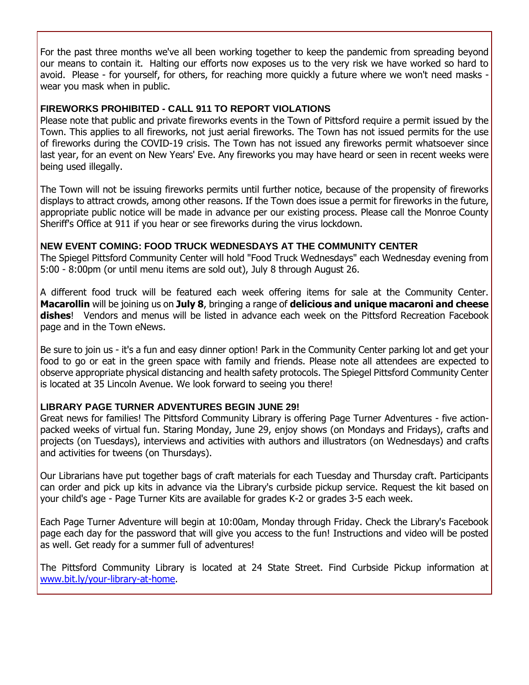For the past three months we've all been working together to keep the pandemic from spreading beyond our means to contain it. Halting our efforts now exposes us to the very risk we have worked so hard to avoid. Please - for yourself, for others, for reaching more quickly a future where we won't need masks wear you mask when in public.

#### **FIREWORKS PROHIBITED - CALL 911 TO REPORT VIOLATIONS**

Please note that public and private fireworks events in the Town of Pittsford require a permit issued by the Town. This applies to all fireworks, not just aerial fireworks. The Town has not issued permits for the use of fireworks during the COVID-19 crisis. The Town has not issued any fireworks permit whatsoever since last year, for an event on New Years' Eve. Any fireworks you may have heard or seen in recent weeks were being used illegally.

The Town will not be issuing fireworks permits until further notice, because of the propensity of fireworks displays to attract crowds, among other reasons. If the Town does issue a permit for fireworks in the future, appropriate public notice will be made in advance per our existing process. Please call the Monroe County Sheriff's Office at 911 if you hear or see fireworks during the virus lockdown.

#### **NEW EVENT COMING: FOOD TRUCK WEDNESDAYS AT THE COMMUNITY CENTER**

The Spiegel Pittsford Community Center will hold "Food Truck Wednesdays" each Wednesday evening from 5:00 - 8:00pm (or until menu items are sold out), July 8 through August 26.

A different food truck will be featured each week offering items for sale at the Community Center. **Macarollin** will be joining us on **July 8**, bringing a range of **delicious and unique macaroni and cheese dishes**! Vendors and menus will be listed in advance each week on the Pittsford Recreation Facebook page and in the Town eNews.

Be sure to join us - it's a fun and easy dinner option! Park in the Community Center parking lot and get your food to go or eat in the green space with family and friends. Please note all attendees are expected to observe appropriate physical distancing and health safety protocols. The Spiegel Pittsford Community Center is located at 35 Lincoln Avenue. We look forward to seeing you there!

#### **LIBRARY PAGE TURNER ADVENTURES BEGIN JUNE 29!**

Great news for families! The Pittsford Community Library is offering Page Turner Adventures - five actionpacked weeks of virtual fun. Staring Monday, June 29, enjoy shows (on Mondays and Fridays), crafts and projects (on Tuesdays), interviews and activities with authors and illustrators (on Wednesdays) and crafts and activities for tweens (on Thursdays).

Our Librarians have put together bags of craft materials for each Tuesday and Thursday craft. Participants can order and pick up kits in advance via the Library's curbside pickup service. Request the kit based on your child's age - Page Turner Kits are available for grades K-2 or grades 3-5 each week.

Each Page Turner Adventure will begin at 10:00am, Monday through Friday. Check the Library's Facebook page each day for the password that will give you access to the fun! Instructions and video will be posted as well. Get ready for a summer full of adventures!

The Pittsford Community Library is located at 24 State Street. Find Curbside Pickup information at [www.bit.ly/your-library-at-home.](http://r20.rs6.net/tn.jsp?f=001oFsxeJAhi5itpVtVLQ6JhGuZqjBD74tzjUa7j-RL_qYBmPozJUAzYBW1dmvsag-eCqbLhbcY2YSrG_bbSkeM_3OmrKxiyGl6ZLc7xHxffj2wS5qhqFtJKfcUe2yS66QTMBgRDeA9vg2sEnlpDSEcvL3UCtV7D0dN_wtI3ypu5zIlMCpZSEOcSdddZ4gy4jaaN-WooFDbIQip7_q_aWNl8CAQvawFhrJKgFQzECpWhYNVZN3ME2Pb53WvvoYdsOGP7SlbxNEHoDJpvfFkKlHJtmc52hu0US8nYbPCOcvE5msCuqvASw9qBw==&c=EhzlqT13_gbDl7cIaMBbQYYCZqkKytkygVs8wdT_apQX604r4U179g==&ch=L0e1_i6GB-hV70Umk1Pndi5EktvEwwQNw9UPVez3nGBSCmJVlvsmyw==)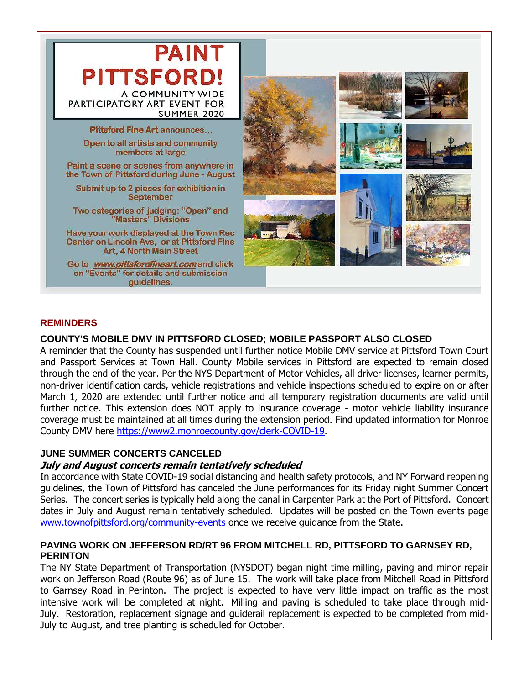

#### **REMINDERS**

#### **COUNTY'S MOBILE DMV IN PITTSFORD CLOSED; MOBILE PASSPORT ALSO CLOSED**

A reminder that the County has suspended until further notice Mobile DMV service at Pittsford Town Court and Passport Services at Town Hall. County Mobile services in Pittsford are expected to remain closed through the end of the year. Per the NYS Department of Motor Vehicles, all driver licenses, learner permits, non-driver identification cards, vehicle registrations and vehicle inspections scheduled to expire on or after March 1, 2020 are extended until further notice and all temporary registration documents are valid until further notice. This extension does NOT apply to insurance coverage - motor vehicle liability insurance coverage must be maintained at all times during the extension period. Find updated information for Monroe County DMV here [https://www2.monroecounty.gov/clerk-COVID-19.](http://r20.rs6.net/tn.jsp?f=001oFsxeJAhi5itpVtVLQ6JhGuZqjBD74tzjUa7j-RL_qYBmPozJUAzYIqLAHzP1pnqDuXV69Wc_ZFGcz2oTOJYcA4AUtRcSTV0x38Mut0jB9epCs5v6Lm6eNFPbFMotpCbxgZ9MB_LIMGbPo6qTvPZu2S3_HiV70p-6qmbqkIM74XIQGRLGQcGAtrYRfxg9SgxjOaiib7Js2q0kN5X_Hskema4iOB8O595RJteRimD6IadbGrHJytI2jHndHJfOfunkkHuqLRp6xR_J4uz7L4bKtxk38fVuFKpArALGauxxYRaXCZpAbqy980t_77CX60g&c=EhzlqT13_gbDl7cIaMBbQYYCZqkKytkygVs8wdT_apQX604r4U179g==&ch=L0e1_i6GB-hV70Umk1Pndi5EktvEwwQNw9UPVez3nGBSCmJVlvsmyw==)

#### **JUNE SUMMER CONCERTS CANCELED**

#### **July and August concerts remain tentatively scheduled**

In accordance with State COVID-19 social distancing and health safety protocols, and NY Forward reopening guidelines, the Town of Pittsford has canceled the June performances for its Friday night Summer Concert Series. The concert series is typically held along the canal in Carpenter Park at the Port of Pittsford. Concert dates in July and August remain tentatively scheduled. Updates will be posted on the Town events page [www.townofpittsford.org/community-events](http://r20.rs6.net/tn.jsp?f=001oFsxeJAhi5itpVtVLQ6JhGuZqjBD74tzjUa7j-RL_qYBmPozJUAzYIy2VXObJ15jphtPhLFEHLSqs_6H-YK_KjnurOxo-5JEwgNOSYlQ31NcFeVX0PkfKSypo7AmKV_1yCaeSLLpb1s-hrT5ZT3WMdW9dCgLG9cPO7zIwbYuu9NSgvA2bLznN_JAHaNLxNgPyFYFdkRhjTFuBbXqRNamVjE69O3jbmNI0wxFQzFuv6jgc56-iqacqzoAIx--JT4Zd1ZpfpE0DQ9x0n09k_7wrJIz-pMnUetbjjqQe8u07FBBSGPudfjQ6rZRhIZ7Zq0N&c=EhzlqT13_gbDl7cIaMBbQYYCZqkKytkygVs8wdT_apQX604r4U179g==&ch=L0e1_i6GB-hV70Umk1Pndi5EktvEwwQNw9UPVez3nGBSCmJVlvsmyw==) once we receive guidance from the State.

#### **PAVING WORK ON JEFFERSON RD/RT 96 FROM MITCHELL RD, PITTSFORD TO GARNSEY RD, PERINTON**

The NY State Department of Transportation (NYSDOT) began night time milling, paving and minor repair work on Jefferson Road (Route 96) as of June 15. The work will take place from Mitchell Road in Pittsford to Garnsey Road in Perinton. The project is expected to have very little impact on traffic as the most intensive work will be completed at night. Milling and paving is scheduled to take place through mid-July. Restoration, replacement signage and guiderail replacement is expected to be completed from mid-July to August, and tree planting is scheduled for October.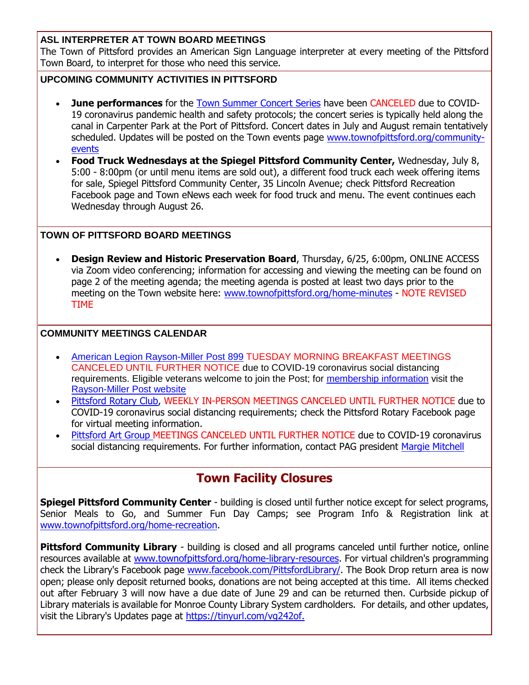#### **ASL INTERPRETER AT TOWN BOARD MEETINGS**

The Town of Pittsford provides an American Sign Language interpreter at every meeting of the Pittsford Town Board, to interpret for those who need this service.

#### **UPCOMING COMMUNITY ACTIVITIES IN PITTSFORD**

- **June performances** for the **[Town Summer Concert Series](http://r20.rs6.net/tn.jsp?f=001oFsxeJAhi5itpVtVLQ6JhGuZqjBD74tzjUa7j-RL_qYBmPozJUAzYHCfqBt8bOIB8jKRP4I4f1tgvI2chRdpAKJG1lvFxaI_OYiZ9EIhBkGdnNoV1LSq-zJ5oVv9LAqcgjzkbR33Z2e3sGZn2Vgtj4FSDWOHg_Er1Mu4UBWE0d6mdDCxlBb3rxKuGm38V9-GZpGGO06HA3pTaLSqUIWSrdpBNPZSR919PTWEsgUtkYQrelYHDFOlXJ4Ux2AHGQoSmvG-21SFJ8txkXYCD5NUtcie4MBlXFzLWDIDsy1jAO2aU4KL8SeqW6Bjov_-0t5z&c=EhzlqT13_gbDl7cIaMBbQYYCZqkKytkygVs8wdT_apQX604r4U179g==&ch=L0e1_i6GB-hV70Umk1Pndi5EktvEwwQNw9UPVez3nGBSCmJVlvsmyw==) have been CANCELED** due to COVID-19 coronavirus pandemic health and safety protocols; the concert series is typically held along the canal in Carpenter Park at the Port of Pittsford. Concert dates in July and August remain tentatively scheduled. Updates will be posted on the Town events page [www.townofpittsford.org/community](http://r20.rs6.net/tn.jsp?f=001oFsxeJAhi5itpVtVLQ6JhGuZqjBD74tzjUa7j-RL_qYBmPozJUAzYIy2VXObJ15jphtPhLFEHLSqs_6H-YK_KjnurOxo-5JEwgNOSYlQ31NcFeVX0PkfKSypo7AmKV_1yCaeSLLpb1s-hrT5ZT3WMdW9dCgLG9cPO7zIwbYuu9NSgvA2bLznN_JAHaNLxNgPyFYFdkRhjTFuBbXqRNamVjE69O3jbmNI0wxFQzFuv6jgc56-iqacqzoAIx--JT4Zd1ZpfpE0DQ9x0n09k_7wrJIz-pMnUetbjjqQe8u07FBBSGPudfjQ6rZRhIZ7Zq0N&c=EhzlqT13_gbDl7cIaMBbQYYCZqkKytkygVs8wdT_apQX604r4U179g==&ch=L0e1_i6GB-hV70Umk1Pndi5EktvEwwQNw9UPVez3nGBSCmJVlvsmyw==)[events](http://r20.rs6.net/tn.jsp?f=001oFsxeJAhi5itpVtVLQ6JhGuZqjBD74tzjUa7j-RL_qYBmPozJUAzYIy2VXObJ15jphtPhLFEHLSqs_6H-YK_KjnurOxo-5JEwgNOSYlQ31NcFeVX0PkfKSypo7AmKV_1yCaeSLLpb1s-hrT5ZT3WMdW9dCgLG9cPO7zIwbYuu9NSgvA2bLznN_JAHaNLxNgPyFYFdkRhjTFuBbXqRNamVjE69O3jbmNI0wxFQzFuv6jgc56-iqacqzoAIx--JT4Zd1ZpfpE0DQ9x0n09k_7wrJIz-pMnUetbjjqQe8u07FBBSGPudfjQ6rZRhIZ7Zq0N&c=EhzlqT13_gbDl7cIaMBbQYYCZqkKytkygVs8wdT_apQX604r4U179g==&ch=L0e1_i6GB-hV70Umk1Pndi5EktvEwwQNw9UPVez3nGBSCmJVlvsmyw==)
- **Food Truck Wednesdays at the Spiegel Pittsford Community Center,** Wednesday, July 8, 5:00 - 8:00pm (or until menu items are sold out), a different food truck each week offering items for sale, Spiegel Pittsford Community Center, 35 Lincoln Avenue; check Pittsford Recreation Facebook page and Town eNews each week for food truck and menu. The event continues each Wednesday through August 26.

#### **TOWN OF PITTSFORD BOARD MEETINGS**

 **Design Review and Historic Preservation Board**, Thursday, 6/25, 6:00pm, ONLINE ACCESS via Zoom video conferencing; information for accessing and viewing the meeting can be found on page 2 of the meeting agenda; the meeting agenda is posted at least two days prior to the meeting on the Town website here: [www.townofpittsford.org/home-minutes](http://r20.rs6.net/tn.jsp?f=001oFsxeJAhi5itpVtVLQ6JhGuZqjBD74tzjUa7j-RL_qYBmPozJUAzYDtvSQiUmDP79oJNwykXezieZqt1szR3OI4uzSz_6J1y1TNOMz9I8BjGNUWZHk3-_zP860N99vnWxB6aZ_p0IYcfp03VBF6nlQiOoOt7fhUWUr1IKwQxMi8THRzykpWaEP6Cg80Evh-MW_ELtC9MKSBaXvBsFvLnWHVdgyOaZ8BxyvpogJdOq__jh6CRXHdwMG7H6wEMU6GVwIetvBxrNvR5_Oc-4O4n2PYiWi7s8kTIzEjRM_eqnyyKTWFkJPA_5A==&c=EhzlqT13_gbDl7cIaMBbQYYCZqkKytkygVs8wdT_apQX604r4U179g==&ch=L0e1_i6GB-hV70Umk1Pndi5EktvEwwQNw9UPVez3nGBSCmJVlvsmyw==) - NOTE REVISED TIME

#### **COMMUNITY MEETINGS CALENDAR**

- [American Legion Rayson-Miller Post 899](http://r20.rs6.net/tn.jsp?f=001oFsxeJAhi5itpVtVLQ6JhGuZqjBD74tzjUa7j-RL_qYBmPozJUAzYFvaE9yqPSMLo_Xf802O_kaKducH7dYUJrstUEHvZe6zk5dSOe8_kv8SxeAS6GX_jh4ngzj8Ngqb0fod_yE8Ljsh556oMR-vEe6iQt80a3CF_mxwmDV7wAyz1B5RlEfgDSyn0Qqt7fU6cE21hVE6PsP38zLZR92twxuE_NiPhF2RqeRmUadxBOxwO3wpV14w2lp8mG74QIAYlbYY-iFwzYIW6uUzN-uijOoaSJmDYRA1hMstHSI9U6-wXLIHKd3ccg==&c=EhzlqT13_gbDl7cIaMBbQYYCZqkKytkygVs8wdT_apQX604r4U179g==&ch=L0e1_i6GB-hV70Umk1Pndi5EktvEwwQNw9UPVez3nGBSCmJVlvsmyw==) TUESDAY MORNING BREAKFAST MEETINGS CANCELED UNTIL FURTHER NOTICE due to COVID-19 coronavirus social distancing requirements. Eligible veterans welcome to join the Post; for [membership information](http://r20.rs6.net/tn.jsp?f=001oFsxeJAhi5itpVtVLQ6JhGuZqjBD74tzjUa7j-RL_qYBmPozJUAzYFvaE9yqPSMLY2xsgoVUkUl4Hl27AtwOfMlWnQtfZWZ6TPhVpgkdGR2HHR4QIiuGeZnnCsBoJBrf6xp7E370ZkvMwW1hMhRHYVkPc0WZCJKtLC5nTyNFLi5G9dIzp2f6Tp632-PkYI9vFeSowT0Dd5BHYeLsEYtWal5HI7TDZyTDWxVhs-xsF1HaVFPqcCBvsCnG1FclYApXPD0tKCtbhV-AoJsApAnkjvgIGiVUuV4GwJMKzFIb8xtil2njXFnZ2Fzg8azDK2ll7glfX-gyCWE=&c=EhzlqT13_gbDl7cIaMBbQYYCZqkKytkygVs8wdT_apQX604r4U179g==&ch=L0e1_i6GB-hV70Umk1Pndi5EktvEwwQNw9UPVez3nGBSCmJVlvsmyw==) visit the [Rayson-Miller Post website](http://r20.rs6.net/tn.jsp?f=001oFsxeJAhi5itpVtVLQ6JhGuZqjBD74tzjUa7j-RL_qYBmPozJUAzYHnLAdqhfpdXjQcBnPxO7RzJKtIJD0jCTbijhocmq7NwS00NmmxlWoy6MyISMkwuVfXPjrm2cjdDrlsdPPiHDW_IwL21VJrsNqHeHzZ0vSmuqT6fy9DHvLtNJS2XjaAsX6E67Lj9axSqAj1JHoMP0K5kfFj3rP7mVdpn2fPLC06OyZV2dWZMBHcTt_M3SdYXg0oI4P6zf1lDZhzPs8Gmkmz0X_OkThWEDdwUMg6YkdOKYOlu_sNH0-XcSlLWjkaRQpscIDSL4ZwtCXsY-IAvk5ggulRD6UVF5Nw7czAg3mUQMEQz0wK9d6QZCRaObo8Ntd9jKpvb1zJzbpgmyiUs9Kw=&c=EhzlqT13_gbDl7cIaMBbQYYCZqkKytkygVs8wdT_apQX604r4U179g==&ch=L0e1_i6GB-hV70Umk1Pndi5EktvEwwQNw9UPVez3nGBSCmJVlvsmyw==)
- [Pittsford Rotary Club,](http://r20.rs6.net/tn.jsp?f=001oFsxeJAhi5itpVtVLQ6JhGuZqjBD74tzjUa7j-RL_qYBmPozJUAzYDtvSQiUmDP7Zvba9unkHcAcD3ZAIuGGhXb9BPCPTUauNurk768VFXOwjnciKgA3hO-KJ-PvVMtETjEvD9R9_tzNwm8pFLjvmHBaWxCGHVC-Odm8OoqWxjSY1zAPax9WBJcY_PIH1F53acZboT3LMQQ2vU1mdk4ADX-CpbKUaqcFxxq7HaEHesm1mTWDvlOwWOdLxRPyVOW9FK-RjPexNMj50w0uFgVNf3TnnUdbxdeI42roURa01iY=&c=EhzlqT13_gbDl7cIaMBbQYYCZqkKytkygVs8wdT_apQX604r4U179g==&ch=L0e1_i6GB-hV70Umk1Pndi5EktvEwwQNw9UPVez3nGBSCmJVlvsmyw==) WEEKLY IN-PERSON MEETINGS CANCELED UNTIL FURTHER NOTICE due to COVID-19 coronavirus social distancing requirements; check the Pittsford Rotary Facebook page for virtual meeting information.
- [Pittsford Art Group M](https://pittsfordartgroup.wordpress.com/?utm_source=eNews+6-24-20&utm_campaign=eNews+06-24-20&utm_medium=email)EETINGS CANCELED UNTIL FURTHER NOTICE due to COVID-19 coronavirus social distancing requirements. For further information, contact PAG president [Margie Mitchell](mailto:mhsmitchell@gmail.com?subject=Pittsford%20Art%20Group%20Meetings%20and%20Membership)

### **Town Facility Closures**

**Spiegel Pittsford Community Center** - building is closed until further notice except for select programs, Senior Meals to Go, and Summer Fun Day Camps; see Program Info & Registration link at [www.townofpittsford.org/home-recreation.](http://r20.rs6.net/tn.jsp?f=001oFsxeJAhi5itpVtVLQ6JhGuZqjBD74tzjUa7j-RL_qYBmPozJUAzYNU_JPTyzaihtpOtwqGlRZr0hRMRJJCZYBW50eU-eZ9fP13Iyl5OJGQhN7x9H1NFttkGi6heebZYhCIuFb5clxmGzkhZ57aIOFDp-waob0LVwDH2ICAItxFYXAN-oEi8_jl7ung0vVBInU7YBEETxI9EwOJRZ-V0g4-nQsHiwmEq9WoR4dqnOVy3cy2aA3DdWf3gxFEXNyF9Z-kZ2vBacEnjk4DY21uuco9U9gGYDOEckwH8Nz5SIrIPIMW2edK1aZfZlJliTjuZ&c=EhzlqT13_gbDl7cIaMBbQYYCZqkKytkygVs8wdT_apQX604r4U179g==&ch=L0e1_i6GB-hV70Umk1Pndi5EktvEwwQNw9UPVez3nGBSCmJVlvsmyw==)

**Pittsford Community Library** - building is closed and all programs canceled until further notice, online resources available at [www.townofpittsford.org/home-library-resources.](http://r20.rs6.net/tn.jsp?f=001oFsxeJAhi5itpVtVLQ6JhGuZqjBD74tzjUa7j-RL_qYBmPozJUAzYCb6i99Rj_NoWb4wV45NF51kQkxcx9mm2lh5PtO0kcCUJRYl7oE3T4dMhcI94sc3ImgoILqHXB-sgAHsFC2bJmaty-o7J-oZbweCV2w1NMIVny8DctCowYd2Zr-_icKsGURLmpZXAov_PB9Z4ipTaAAKBfoInShCitrkIPWDl4BdlRiVzbqVk1xArPmMSuxdDKqsJm3YBrT6xd-NeXZ6ea1QHOp7X0ct7OhO0nKlQcR_YYgFxaIfs1Dx5Oy43VGX4GD8dQ-B-fSD_lGKQGrBYSU=&c=EhzlqT13_gbDl7cIaMBbQYYCZqkKytkygVs8wdT_apQX604r4U179g==&ch=L0e1_i6GB-hV70Umk1Pndi5EktvEwwQNw9UPVez3nGBSCmJVlvsmyw==) For virtual children's programming check the Library's Facebook page [www.facebook.com/PittsfordLibrary/.](http://r20.rs6.net/tn.jsp?f=001oFsxeJAhi5itpVtVLQ6JhGuZqjBD74tzjUa7j-RL_qYBmPozJUAzYNdhg9Aya9luGTXR8XIiG9WoFyioTPSC6_78Z9z99fbzCa4pFl92_p67XgDp5gWMQapEaACZ3RHPDE-f42B_TXZpIzYKQyT4s9TDXWoMtaVxds7W80cMNtgUQGym3EjvcSWx8nCkAqmjVP5QZ4hkTE4=&c=EhzlqT13_gbDl7cIaMBbQYYCZqkKytkygVs8wdT_apQX604r4U179g==&ch=L0e1_i6GB-hV70Umk1Pndi5EktvEwwQNw9UPVez3nGBSCmJVlvsmyw==) The Book Drop return area is now open; please only deposit returned books, donations are not being accepted at this time. All items checked out after February 3 will now have a due date of June 29 and can be returned then. Curbside pickup of Library materials is available for Monroe County Library System cardholders. For details, and other updates, visit the Library's Updates page at [https://tinyurl.com/vg242of.](http://r20.rs6.net/tn.jsp?f=001oFsxeJAhi5itpVtVLQ6JhGuZqjBD74tzjUa7j-RL_qYBmPozJUAzYNdhg9Aya9lurrF0r0MZ4q1EkUT-QgO7TZCDDZCFgWVTi-lVXl3ReGeDrUeHuNUJGpBTnBldGHMOwGoZqOZdxQWqR732ASc3YRlYLFSrALh7NibBczZz5xnf3Z5ynpOwRw==&c=EhzlqT13_gbDl7cIaMBbQYYCZqkKytkygVs8wdT_apQX604r4U179g==&ch=L0e1_i6GB-hV70Umk1Pndi5EktvEwwQNw9UPVez3nGBSCmJVlvsmyw==)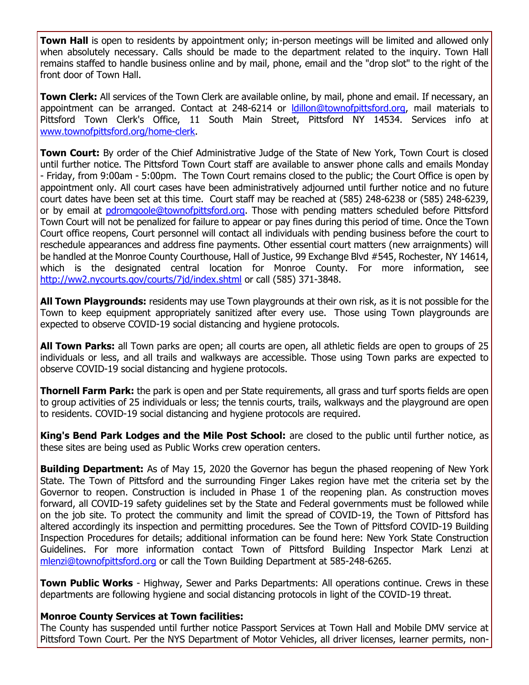**Town Hall** is open to residents by appointment only; in-person meetings will be limited and allowed only when absolutely necessary. Calls should be made to the department related to the inquiry. Town Hall remains staffed to handle business online and by mail, phone, email and the "drop slot" to the right of the front door of Town Hall.

**Town Clerk:** All services of the Town Clerk are available online, by mail, phone and email. If necessary, an appointment can be arranged. Contact at 248-6214 or [ldillon@townofpittsford.org,](mailto:ldillon@townofpittsford.org) mail materials to Pittsford Town Clerk's Office, 11 South Main Street, Pittsford NY 14534. Services info at [www.townofpittsford.org/home-clerk.](http://r20.rs6.net/tn.jsp?f=001oFsxeJAhi5itpVtVLQ6JhGuZqjBD74tzjUa7j-RL_qYBmPozJUAzYCb6i99Rj_No3NIV-eXGjkPDdCopWzMpM7ng2Clv0B_gO9YXXOwly-muMkhXgIF2cmJW5lJURUx411XrY7B1t-SOgKrOX42WO4EAWNaadZ462fTh2WRu7h-ztV8BeyzWYI1KYZ-D7ZLX8TdbadlxlUlCmi_PpSpl0khr4bBVilXxNZlXiYvr5zi-CfQQ58J79DwiJXoVzw2xplzoQWPwQ85MeMHXleGcsbfc3Yw7uH5Ke4rZuvt1zC9jjEjkVKN07g==&c=EhzlqT13_gbDl7cIaMBbQYYCZqkKytkygVs8wdT_apQX604r4U179g==&ch=L0e1_i6GB-hV70Umk1Pndi5EktvEwwQNw9UPVez3nGBSCmJVlvsmyw==)

**Town Court:** By order of the Chief Administrative Judge of the State of New York, Town Court is closed until further notice. The Pittsford Town Court staff are available to answer phone calls and emails Monday - Friday, from 9:00am - 5:00pm. The Town Court remains closed to the public; the Court Office is open by appointment only. All court cases have been administratively adjourned until further notice and no future court dates have been set at this time. Court staff may be reached at (585) 248-6238 or (585) 248-6239, or by email at [pdromgoole@townofpittsford.org.](mailto:pdromgoole@townofpittsford.org) Those with pending matters scheduled before Pittsford Town Court will not be penalized for failure to appear or pay fines during this period of time. Once the Town Court office reopens, Court personnel will contact all individuals with pending business before the court to reschedule appearances and address fine payments. Other essential court matters (new arraignments) will be handled at the Monroe County Courthouse, Hall of Justice, 99 Exchange Blvd #545, Rochester, NY 14614, which is the designated central location for Monroe County. For more information, see [http://ww2.nycourts.gov/courts/7jd/index.shtml](http://r20.rs6.net/tn.jsp?f=001oFsxeJAhi5itpVtVLQ6JhGuZqjBD74tzjUa7j-RL_qYBmPozJUAzYDPNugEalERjFGU18lQa4QG--96WVA3G10S2tLKVtz444JsgmcWyQcAZRyxRucGPJQlnN9E7vRxKb21x6jg2ygBvSDdcBPR50A4b77oReyx3tPwvK0RosJVxygFrfVxu1xMRZd25iW_Dm05WiTynX3wdIkjc-k6v0VDWg08iQI50YpdShwxUNuUS3UP0qX1bs9RQbDe0GjRALJH4nm9Q5lenYp_rTU8tq7ootmY0WwNbFGhBWqQeNTuKmkPIe5HEWgmy-dKfWZlY&c=EhzlqT13_gbDl7cIaMBbQYYCZqkKytkygVs8wdT_apQX604r4U179g==&ch=L0e1_i6GB-hV70Umk1Pndi5EktvEwwQNw9UPVez3nGBSCmJVlvsmyw==) or call (585) 371-3848.

**All Town Playgrounds:** residents may use Town playgrounds at their own risk, as it is not possible for the Town to keep equipment appropriately sanitized after every use. Those using Town playgrounds are expected to observe COVID-19 social distancing and hygiene protocols.

**All Town Parks:** all Town parks are open; all courts are open, all athletic fields are open to groups of 25 individuals or less, and all trails and walkways are accessible. Those using Town parks are expected to observe COVID-19 social distancing and hygiene protocols.

**Thornell Farm Park:** the park is open and per State requirements, all grass and turf sports fields are open to group activities of 25 individuals or less; the tennis courts, trails, walkways and the playground are open to residents. COVID-19 social distancing and hygiene protocols are required.

**King's Bend Park Lodges and the Mile Post School:** are closed to the public until further notice, as these sites are being used as Public Works crew operation centers.

**Building Department:** As of May 15, 2020 the Governor has begun the phased reopening of New York State. The Town of Pittsford and the surrounding Finger Lakes region have met the criteria set by the Governor to reopen. Construction is included in Phase 1 of the reopening plan. As construction moves forward, all COVID-19 safety guidelines set by the State and Federal governments must be followed while on the job site. To protect the community and limit the spread of COVID-19, the Town of Pittsford has altered accordingly its inspection and permitting procedures. See the Town of Pittsford COVID-19 Building Inspection Procedures for details; additional information can be found here: New York State Construction Guidelines. For more information contact Town of Pittsford Building Inspector Mark Lenzi at [mlenzi@townofpittsford.org](mailto:mlenzi@townofpittsford.org?subject=COVID-19%20Construciton%20Information) or call the Town Building Department at 585-248-6265.

**Town Public Works** - Highway, Sewer and Parks Departments: All operations continue. Crews in these departments are following hygiene and social distancing protocols in light of the COVID-19 threat.

#### **Monroe County Services at Town facilities:**

The County has suspended until further notice Passport Services at Town Hall and Mobile DMV service at Pittsford Town Court. Per the NYS Department of Motor Vehicles, all driver licenses, learner permits, non-